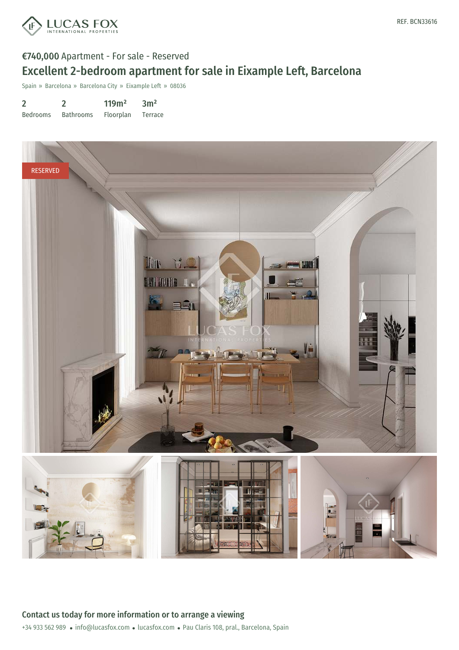

# €740,000 Apartment - For sale - Reserved Excellent 2-bedroom apartment for sale in Eixample Left, Barcelona

Spain » Barcelona » Barcelona City » Eixample Left » 08036

| $\overline{2}$  |                  | 119m <sup>2</sup> | 3m <sup>2</sup> |
|-----------------|------------------|-------------------|-----------------|
| <b>Bedrooms</b> | <b>Bathrooms</b> | Floorplan         | Terrace         |

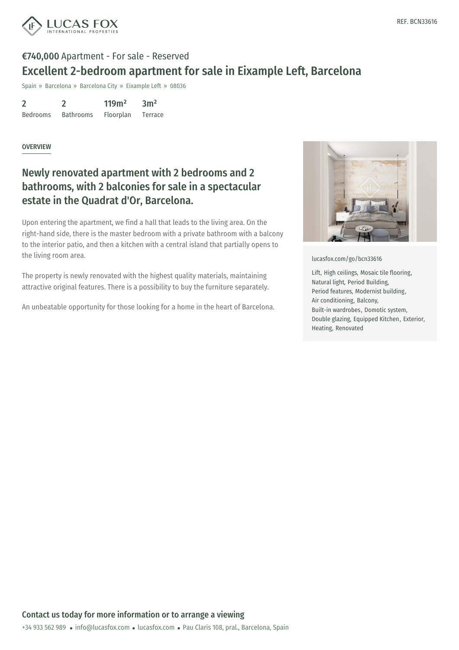

## €740,000 Apartment - For sale - Reserved Excellent 2-bedroom apartment for sale in Eixample Left, Barcelona

Spain » Barcelona » Barcelona City » Eixample Left » 08036

2 Bedrooms 2 Bathrooms 119m² Floorplan  $3<sup>m²</sup>$ Terrace

#### **OVERVIEW**

### Newly renovated apartment with 2 bedrooms and 2 bathrooms, with 2 balconies for sale in a spectacular estate in the Quadrat d'Or, Barcelona.

Upon entering the apartment, we find a hall that leads to the living area. On the right-hand side, there is the master bedroom with a private bathroom with a balcony to the interior patio, and then a kitchen with a central island that partially opens to the living room area.

The property is newly renovated with the highest quality materials, maintaining attractive original features. There is a possibility to buy the furniture separately.

An unbeatable opportunity for those looking for a home in the heart of Barcelona.



[lucasfox.com/go/bcn33616](https://www.lucasfox.com/go/bcn33616)

Lift, High ceilings, Mosaic tile flooring, Natural light, Period Building, Period features, Modernist building, Air conditioning, Balcony, Built-in wardrobes, Domotic system, Double glazing, Equipped Kitchen, Exterior, Heating, Renovated